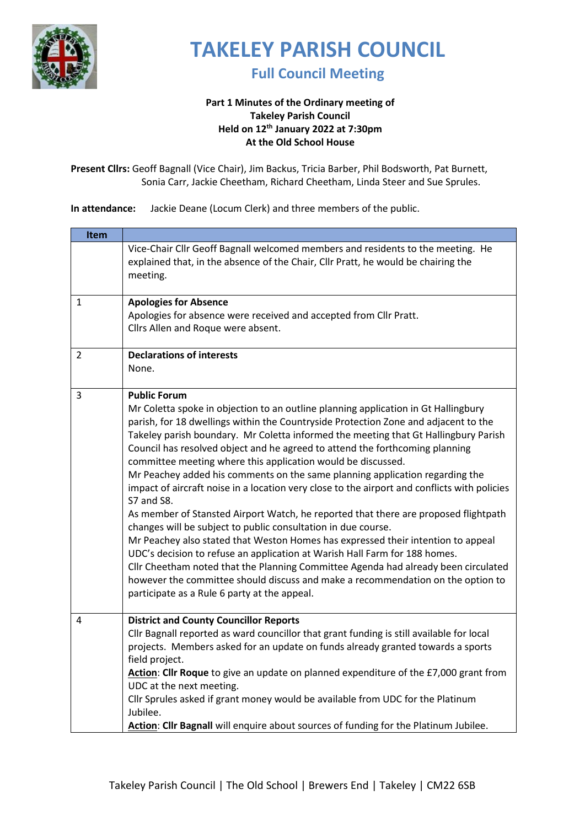

**Full Council Meeting** 

#### **Part 1 Minutes of the Ordinary meeting of Takeley Parish Council Held on 12th January 2022 at 7:30pm At the Old School House**

**Present Cllrs:** Geoff Bagnall (Vice Chair), Jim Backus, Tricia Barber, Phil Bodsworth, Pat Burnett, Sonia Carr, Jackie Cheetham, Richard Cheetham, Linda Steer and Sue Sprules.

**In attendance:** Jackie Deane (Locum Clerk) and three members of the public.

|                | Vice-Chair Cllr Geoff Bagnall welcomed members and residents to the meeting. He<br>explained that, in the absence of the Chair, Cllr Pratt, he would be chairing the                                                                                                                                                                                                                                                                                                                                                                                                                                                                                                                                                                                                                                                                                                                                                                                                                                                                                                                                                                                                                     |
|----------------|------------------------------------------------------------------------------------------------------------------------------------------------------------------------------------------------------------------------------------------------------------------------------------------------------------------------------------------------------------------------------------------------------------------------------------------------------------------------------------------------------------------------------------------------------------------------------------------------------------------------------------------------------------------------------------------------------------------------------------------------------------------------------------------------------------------------------------------------------------------------------------------------------------------------------------------------------------------------------------------------------------------------------------------------------------------------------------------------------------------------------------------------------------------------------------------|
|                | meeting.                                                                                                                                                                                                                                                                                                                                                                                                                                                                                                                                                                                                                                                                                                                                                                                                                                                                                                                                                                                                                                                                                                                                                                                 |
| $\mathbf{1}$   | <b>Apologies for Absence</b><br>Apologies for absence were received and accepted from Cllr Pratt.<br>Cllrs Allen and Roque were absent.                                                                                                                                                                                                                                                                                                                                                                                                                                                                                                                                                                                                                                                                                                                                                                                                                                                                                                                                                                                                                                                  |
| $\overline{2}$ | <b>Declarations of interests</b><br>None.                                                                                                                                                                                                                                                                                                                                                                                                                                                                                                                                                                                                                                                                                                                                                                                                                                                                                                                                                                                                                                                                                                                                                |
| 3              | <b>Public Forum</b><br>Mr Coletta spoke in objection to an outline planning application in Gt Hallingbury<br>parish, for 18 dwellings within the Countryside Protection Zone and adjacent to the<br>Takeley parish boundary. Mr Coletta informed the meeting that Gt Hallingbury Parish<br>Council has resolved object and he agreed to attend the forthcoming planning<br>committee meeting where this application would be discussed.<br>Mr Peachey added his comments on the same planning application regarding the<br>impact of aircraft noise in a location very close to the airport and conflicts with policies<br>S7 and S8.<br>As member of Stansted Airport Watch, he reported that there are proposed flightpath<br>changes will be subject to public consultation in due course.<br>Mr Peachey also stated that Weston Homes has expressed their intention to appeal<br>UDC's decision to refuse an application at Warish Hall Farm for 188 homes.<br>Cllr Cheetham noted that the Planning Committee Agenda had already been circulated<br>however the committee should discuss and make a recommendation on the option to<br>participate as a Rule 6 party at the appeal. |
| 4              | <b>District and County Councillor Reports</b><br>Cllr Bagnall reported as ward councillor that grant funding is still available for local<br>projects. Members asked for an update on funds already granted towards a sports<br>field project.<br>Action: Cllr Roque to give an update on planned expenditure of the £7,000 grant from<br>UDC at the next meeting.<br>Cllr Sprules asked if grant money would be available from UDC for the Platinum<br>Jubilee.<br>Action: Cllr Bagnall will enquire about sources of funding for the Platinum Jubilee.                                                                                                                                                                                                                                                                                                                                                                                                                                                                                                                                                                                                                                 |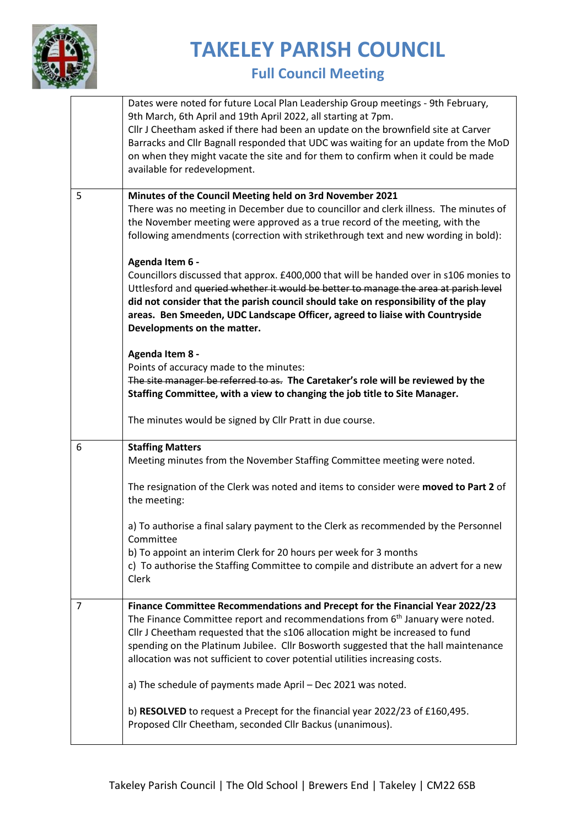

### **Full Council Meeting**

|   | Dates were noted for future Local Plan Leadership Group meetings - 9th February,<br>9th March, 6th April and 19th April 2022, all starting at 7pm.<br>Cllr J Cheetham asked if there had been an update on the brownfield site at Carver<br>Barracks and Cllr Bagnall responded that UDC was waiting for an update from the MoD<br>on when they might vacate the site and for them to confirm when it could be made<br>available for redevelopment. |
|---|-----------------------------------------------------------------------------------------------------------------------------------------------------------------------------------------------------------------------------------------------------------------------------------------------------------------------------------------------------------------------------------------------------------------------------------------------------|
| 5 | Minutes of the Council Meeting held on 3rd November 2021<br>There was no meeting in December due to councillor and clerk illness. The minutes of<br>the November meeting were approved as a true record of the meeting, with the<br>following amendments (correction with strikethrough text and new wording in bold):                                                                                                                              |
|   | Agenda Item 6 -<br>Councillors discussed that approx. £400,000 that will be handed over in s106 monies to<br>Uttlesford and queried whether it would be better to manage the area at parish level<br>did not consider that the parish council should take on responsibility of the play<br>areas. Ben Smeeden, UDC Landscape Officer, agreed to liaise with Countryside<br>Developments on the matter.                                              |
|   | Agenda Item 8 -<br>Points of accuracy made to the minutes:<br>The site manager be referred to as. The Caretaker's role will be reviewed by the<br>Staffing Committee, with a view to changing the job title to Site Manager.                                                                                                                                                                                                                        |
|   | The minutes would be signed by Cllr Pratt in due course.                                                                                                                                                                                                                                                                                                                                                                                            |
| 6 | <b>Staffing Matters</b><br>Meeting minutes from the November Staffing Committee meeting were noted.                                                                                                                                                                                                                                                                                                                                                 |
|   | The resignation of the Clerk was noted and items to consider were moved to Part 2 of<br>the meeting:                                                                                                                                                                                                                                                                                                                                                |
|   | a) To authorise a final salary payment to the Clerk as recommended by the Personnel<br>Committee                                                                                                                                                                                                                                                                                                                                                    |
|   | b) To appoint an interim Clerk for 20 hours per week for 3 months<br>c) To authorise the Staffing Committee to compile and distribute an advert for a new<br>Clerk                                                                                                                                                                                                                                                                                  |
| 7 | Finance Committee Recommendations and Precept for the Financial Year 2022/23<br>The Finance Committee report and recommendations from 6 <sup>th</sup> January were noted.<br>Cllr J Cheetham requested that the s106 allocation might be increased to fund<br>spending on the Platinum Jubilee. Cllr Bosworth suggested that the hall maintenance<br>allocation was not sufficient to cover potential utilities increasing costs.                   |
|   | a) The schedule of payments made April - Dec 2021 was noted.                                                                                                                                                                                                                                                                                                                                                                                        |
|   | b) RESOLVED to request a Precept for the financial year 2022/23 of £160,495.<br>Proposed Cllr Cheetham, seconded Cllr Backus (unanimous).                                                                                                                                                                                                                                                                                                           |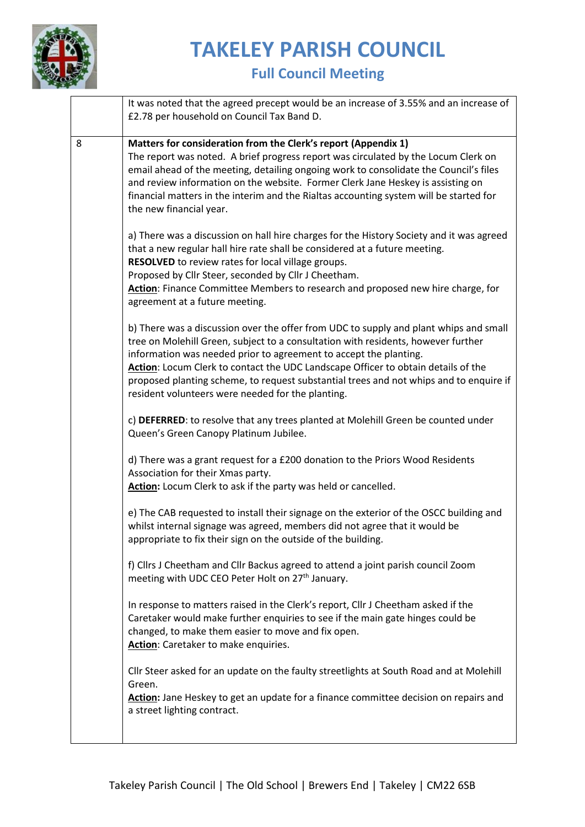

#### **Full Council Meeting**

|   | It was noted that the agreed precept would be an increase of 3.55% and an increase of<br>£2.78 per household on Council Tax Band D.                                                                                                                                                                                                                                                                                                                                                 |
|---|-------------------------------------------------------------------------------------------------------------------------------------------------------------------------------------------------------------------------------------------------------------------------------------------------------------------------------------------------------------------------------------------------------------------------------------------------------------------------------------|
| 8 | Matters for consideration from the Clerk's report (Appendix 1)<br>The report was noted. A brief progress report was circulated by the Locum Clerk on<br>email ahead of the meeting, detailing ongoing work to consolidate the Council's files<br>and review information on the website. Former Clerk Jane Heskey is assisting on<br>financial matters in the interim and the Rialtas accounting system will be started for<br>the new financial year.                               |
|   | a) There was a discussion on hall hire charges for the History Society and it was agreed<br>that a new regular hall hire rate shall be considered at a future meeting.<br>RESOLVED to review rates for local village groups.<br>Proposed by Cllr Steer, seconded by Cllr J Cheetham.<br>Action: Finance Committee Members to research and proposed new hire charge, for<br>agreement at a future meeting.                                                                           |
|   | b) There was a discussion over the offer from UDC to supply and plant whips and small<br>tree on Molehill Green, subject to a consultation with residents, however further<br>information was needed prior to agreement to accept the planting.<br>Action: Locum Clerk to contact the UDC Landscape Officer to obtain details of the<br>proposed planting scheme, to request substantial trees and not whips and to enquire if<br>resident volunteers were needed for the planting. |
|   | c) DEFERRED: to resolve that any trees planted at Molehill Green be counted under<br>Queen's Green Canopy Platinum Jubilee.                                                                                                                                                                                                                                                                                                                                                         |
|   | d) There was a grant request for a £200 donation to the Priors Wood Residents<br>Association for their Xmas party.<br>Action: Locum Clerk to ask if the party was held or cancelled.                                                                                                                                                                                                                                                                                                |
|   | e) The CAB requested to install their signage on the exterior of the OSCC building and<br>whilst internal signage was agreed, members did not agree that it would be<br>appropriate to fix their sign on the outside of the building.                                                                                                                                                                                                                                               |
|   | f) Cllrs J Cheetham and Cllr Backus agreed to attend a joint parish council Zoom<br>meeting with UDC CEO Peter Holt on 27 <sup>th</sup> January.                                                                                                                                                                                                                                                                                                                                    |
|   | In response to matters raised in the Clerk's report, Cllr J Cheetham asked if the<br>Caretaker would make further enquiries to see if the main gate hinges could be<br>changed, to make them easier to move and fix open.<br>Action: Caretaker to make enquiries.                                                                                                                                                                                                                   |
|   | Cllr Steer asked for an update on the faulty streetlights at South Road and at Molehill<br>Green.<br>Action: Jane Heskey to get an update for a finance committee decision on repairs and<br>a street lighting contract.                                                                                                                                                                                                                                                            |
|   |                                                                                                                                                                                                                                                                                                                                                                                                                                                                                     |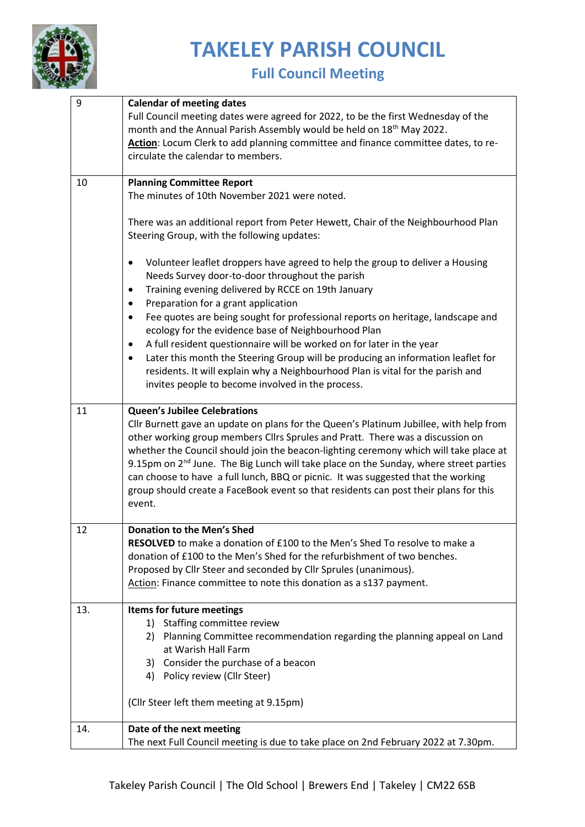

**Full Council Meeting** 

| 9   | <b>Calendar of meeting dates</b><br>Full Council meeting dates were agreed for 2022, to be the first Wednesday of the                                                                                                                                                                                                                                                                                                                                                                                                                                         |
|-----|---------------------------------------------------------------------------------------------------------------------------------------------------------------------------------------------------------------------------------------------------------------------------------------------------------------------------------------------------------------------------------------------------------------------------------------------------------------------------------------------------------------------------------------------------------------|
|     | month and the Annual Parish Assembly would be held on 18 <sup>th</sup> May 2022.<br>Action: Locum Clerk to add planning committee and finance committee dates, to re-<br>circulate the calendar to members.                                                                                                                                                                                                                                                                                                                                                   |
| 10  | <b>Planning Committee Report</b>                                                                                                                                                                                                                                                                                                                                                                                                                                                                                                                              |
|     | The minutes of 10th November 2021 were noted.                                                                                                                                                                                                                                                                                                                                                                                                                                                                                                                 |
|     | There was an additional report from Peter Hewett, Chair of the Neighbourhood Plan<br>Steering Group, with the following updates:                                                                                                                                                                                                                                                                                                                                                                                                                              |
|     | Volunteer leaflet droppers have agreed to help the group to deliver a Housing<br>$\bullet$<br>Needs Survey door-to-door throughout the parish                                                                                                                                                                                                                                                                                                                                                                                                                 |
|     | Training evening delivered by RCCE on 19th January<br>$\bullet$                                                                                                                                                                                                                                                                                                                                                                                                                                                                                               |
|     | Preparation for a grant application<br>$\bullet$<br>Fee quotes are being sought for professional reports on heritage, landscape and<br>$\bullet$<br>ecology for the evidence base of Neighbourhood Plan                                                                                                                                                                                                                                                                                                                                                       |
|     | A full resident questionnaire will be worked on for later in the year<br>$\bullet$                                                                                                                                                                                                                                                                                                                                                                                                                                                                            |
|     | Later this month the Steering Group will be producing an information leaflet for<br>٠<br>residents. It will explain why a Neighbourhood Plan is vital for the parish and<br>invites people to become involved in the process.                                                                                                                                                                                                                                                                                                                                 |
| 11  | Queen's Jubilee Celebrations                                                                                                                                                                                                                                                                                                                                                                                                                                                                                                                                  |
|     | Cllr Burnett gave an update on plans for the Queen's Platinum Jubillee, with help from<br>other working group members Cllrs Sprules and Pratt. There was a discussion on<br>whether the Council should join the beacon-lighting ceremony which will take place at<br>9.15pm on 2 <sup>nd</sup> June. The Big Lunch will take place on the Sunday, where street parties<br>can choose to have a full lunch, BBQ or picnic. It was suggested that the working<br>group should create a FaceBook event so that residents can post their plans for this<br>event. |
| 12  | <b>Donation to the Men's Shed</b>                                                                                                                                                                                                                                                                                                                                                                                                                                                                                                                             |
|     | RESOLVED to make a donation of £100 to the Men's Shed To resolve to make a                                                                                                                                                                                                                                                                                                                                                                                                                                                                                    |
|     | donation of £100 to the Men's Shed for the refurbishment of two benches.<br>Proposed by Cllr Steer and seconded by Cllr Sprules (unanimous).                                                                                                                                                                                                                                                                                                                                                                                                                  |
|     | Action: Finance committee to note this donation as a s137 payment.                                                                                                                                                                                                                                                                                                                                                                                                                                                                                            |
| 13. | Items for future meetings                                                                                                                                                                                                                                                                                                                                                                                                                                                                                                                                     |
|     | 1) Staffing committee review                                                                                                                                                                                                                                                                                                                                                                                                                                                                                                                                  |
|     | 2) Planning Committee recommendation regarding the planning appeal on Land                                                                                                                                                                                                                                                                                                                                                                                                                                                                                    |
|     | at Warish Hall Farm<br>Consider the purchase of a beacon<br>3)                                                                                                                                                                                                                                                                                                                                                                                                                                                                                                |
|     | 4) Policy review (Cllr Steer)                                                                                                                                                                                                                                                                                                                                                                                                                                                                                                                                 |
|     | (Cllr Steer left them meeting at 9.15pm)                                                                                                                                                                                                                                                                                                                                                                                                                                                                                                                      |
| 14. | Date of the next meeting                                                                                                                                                                                                                                                                                                                                                                                                                                                                                                                                      |
|     | The next Full Council meeting is due to take place on 2nd February 2022 at 7.30pm.                                                                                                                                                                                                                                                                                                                                                                                                                                                                            |